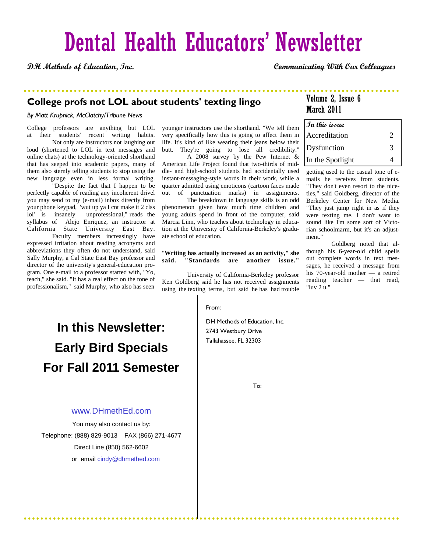# Dental Health Educators' Newsletter

**DH Methods of Education, Inc. Communicating With Our Colleagues**

### **College profs not LOL about students' texting lingo**

### *By Matt Krupnick, McClatchy/Tribune News*

College professors are anything but LOL at their students' recent writing habits.

 Not only are instructors not laughing out loud (shortened to LOL in text messages and online chats) at the technology-oriented shorthand that has seeped into academic papers, many of them also sternly telling students to stop using the new language even in less formal writing.

 "Despite the fact that I happen to be perfectly capable of reading any incoherent drivel you may send to my (e-mail) inbox directly from your phone keypad, 'wut up ya I cnt make it 2 clss lol' is insanely unprofessional," reads the syllabus of Alejo Enriquez, an instructor at California State University East Bay.

 Faculty members increasingly have expressed irritation about reading acronyms and abbreviations they often do not understand, said Sally Murphy, a Cal State East Bay professor and director of the university's general-education program. One e-mail to a professor started with, "Yo, teach," she said. "It has a real effect on the tone of professionalism," said Murphy, who also has seen

younger instructors use the shorthand. "We tell them very specifically how this is going to affect them in life. It's kind of like wearing their jeans below their butt. They're going to lose all credibility."

 A 2008 survey by the Pew Internet & American Life Project found that two-thirds of middle- and high-school students had accidentally used instant-messaging-style words in their work, while a quarter admitted using emoticons (cartoon faces made out of punctuation marks) in assignments.

 The breakdown in language skills is an odd phenomenon given how much time children and young adults spend in front of the computer, said Marcia Linn, who teaches about technology in education at the University of California-Berkeley's graduate school of education.

### "**Writing has actually increased as an activity," she said. "Standards are another issue."**

 University of California-Berkeley professor Ken Goldberg said he has not received assignments using the texting terms, but said he has had trouble

#### From:

DH Methods of Education, Inc. 2743 Westbury Drive Tallahassee, FL 32303

### Volume 2, Issue 6 March 2011

| $\bm{\mathit{Jn}}$ this issue |   |
|-------------------------------|---|
| Accreditation                 | ာ |
| Dysfunction                   | 3 |
| In the Spotlight              |   |

getting used to the casual tone of emails he receives from students. "They don't even resort to the niceties," said Goldberg, director of the Berkeley Center for New Media. "They just jump right in as if they were texting me. I don't want to sound like I'm some sort of Victorian schoolmarm, but it's an adjustment."

 Goldberg noted that although his 6-year-old child spells out complete words in text messages, he received a message from his 70-year-old mother — a retired reading teacher — that read, "luv 2 u."

. . . . . . . . . . .

### **In this Newsletter: Early Bird Specials For Fall 2011 Semester**

### www.DHmethEd.com

You may also contact us by: Telephone: (888) 829-9013 FAX (866) 271-4677 Direct Line (850) 562-6602 or email cindy@dhmethed.com

. . . . . . . . . . .

To: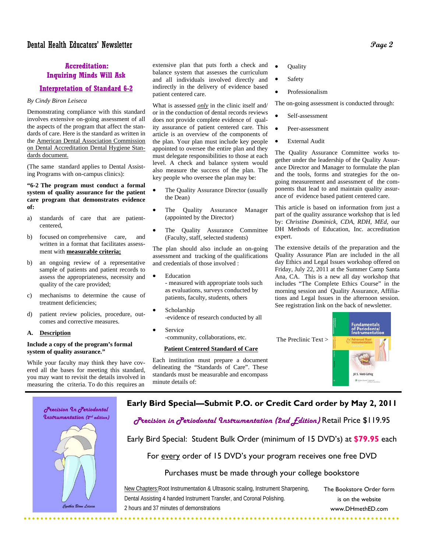### EExcell **Inquiring Minds Will Ask Accreditation:**

### **Interpretation of Standard 6-2**

### *By Cindy Biron Leiseca*

Demonstrating compliance with this standard involves extensive on-going assessment of all the aspects of the program that affect the standards of care. Here is the standard as written in the American Dental Association Commission on Dental Accreditation Dental Hygiene Standards document.

(The same standard applies to Dental Assisting Programs with on-campus clinics):

### **"6-2 The program must conduct a formal system of quality assurance for the patient care program that demonstrates evidence of:**

- a) standards of care that are patientcentered,
- b) focused on comprehensive care, and written in a format that facilitates assessment with **measurable criteria;**
- b) an ongoing review of a representative sample of patients and patient records to assess the appropriateness, necessity and quality of the care provided;
- c) mechanisms to determine the cause of treatment deficiencies;
- d) patient review policies, procedure, outcomes and corrective measures.
- **A. Description**

### **Include a copy of the program's formal system of quality assurance."**

While your faculty may think they have covered all the bases for meeting this standard, you may want to revisit the details involved in measuring the criteria. To do this requires an

extensive plan that puts forth a check and balance system that assesses the curriculum and all individuals involved directly and indirectly in the delivery of evidence based patient centered care.

What is assessed *only* in the clinic itself and/ or in the conduction of dental records reviews does not provide complete evidence of quality assurance of patient centered care. This article is an overview of the components of the plan. Your plan must include key people appointed to oversee the entire plan and they must delegate responsibilities to those at each level. A check and balance system would also measure the success of the plan. The key people who oversee the plan may be:

- The Quality Assurance Director (usually the Dean)
- The Quality Assurance Manager (appointed by the Director)
- The Quality Assurance Committee (Faculty, staff, selected students)

The plan should also include an on-going assessment and tracking of the qualifications and credentials of those involved :

- **Education** - measured with appropriate tools such as evaluations, surveys conducted by patients, faculty, students, others
- Scholarship -evidence of research conducted by all
- **Service** -community, collaborations, etc.

### **Patient Centered Standard of Care**

Each institution must prepare a document delineating the "Standards of Care". These standards must be measurable and encompass minute details of:

- **Ouality**
- **Safety**
- Professionalism

The on-going assessment is conducted through:

- Self-assessment
- Peer-assessment
- External Audit

The Quality Assurance Committee works together under the leadership of the Quality Assurance Director and Manager to formulate the plan and the tools, forms and strategies for the ongoing measurement and assessment of the components that lead to and maintain quality assurance of evidence based patient centered care.

This article is based on information from just a part of the quality assurance workshop that is led by: *Christine Dominick, CDA, RDH, MEd,* our DH Methods of Education, Inc. accreditation expert.

The extensive details of the preparation and the Quality Assurance Plan are included in the all day Ethics and Legal Issues workshop offered on Friday, July 22, 2011 at the Summer Camp Santa Ana, CA. This is a new all day workshop that includes "The Complete Ethics Course" in the morning session and Quality Assurance, Affiliations and Legal Issues in the afternoon session. See registration link on the back of newsletter.



### **Early Bird Special—Submit P.O. or Credit Card order by May 2, 2011**



Early Bird Special: Student Bulk Order (minimum of 15 DVD's) at **\$79.95** each

For every order of 15 DVD's your program receives one free DVD

### Purchases must be made through your college bookstore

. . . . . . . . . . . . . . . .

New Chapters:Root Instrumentation & Ultrasonic scaling, Instrument Sharpening, Dental Assisting 4 handed Instrument Transfer, and Coronal Polishing. 2 hours and 37 minutes of demonstrations

The Bookstore Order form is on the website www.DHmethED.com

Precision In Periodontal *<u>Instrumentation</u>* (2<sup>nd</sup> edition) Cynthia Biron Leiseca

. . . . . . . . . . . .

. . . . . . .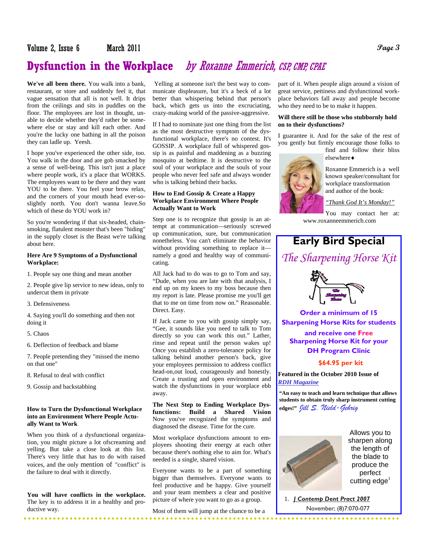### **Dysfunction in the Workplace** by Roxanne Emmerich, CSP, CMP, CPAE

**We've all been there.** You walk into a bank, restaurant, or store and suddenly feel it, that vague sensation that all is not well. It drips from the ceilings and sits in puddles on the floor. The employees are lost in thought, unable to decide whether they'd rather be somewhere else or stay and kill each other. And you're the lucky one bathing in all the poison they can ladle up. Yeesh.

I hope you've experienced the other side, too. You walk in the door and are gob smacked by a sense of well-being. This isn't just a place where people work, it's a place that WORKS. The employees want to be there and they want YOU to be there. You feel your brow relax, and the corners of your mouth head ever-soslightly north. You don't wanna leave.So which of these do YOU work in?

So you're wondering if that six-headed, chainsmoking, flatulent monster that's been "hiding" in the supply closet is the Beast we're talking about here.

#### **Here Are 9 Symptoms of a Dysfunctional Workplace:**

1. People say one thing and mean another

2. People give lip service to new ideas, only to undercut them in private

3. Defensiveness

4. Saying you'll do something and then not doing it

5. Chaos

6. Deflection of feedback and blame

7. People pretending they "missed the memo on that one"

8. Refusal to deal with conflict

9. Gossip and backstabbing

### **How to Turn the Dysfunctional Workplace into an Environment Where People Actually Want to Work**

When you think of a dysfunctional organization, you might picture a lot ofscreaming and yelling. But take a close look at this list. There's very little that has to do with raised voices, and the only mention of "conflict" is the failure to deal with it directly.

**You will have conflicts in the workplace.**  The key is to address it in a healthy and productive way.

Yelling at someone isn't the best way to communicate displeasure, but it's a heck of a lot better than whispering behind that person's back, which gets us into the excruciating, crazy-making world of the passive-aggressive.

If I had to nominate just one thing from the list as the most destructive symptom of the dysfunctional workplace, there's no contest. It's GOSSIP. A workplace full of whispered gossip is as painful and maddening as a buzzing mosquito at bedtime. It is destructive to the soul of your workplace and the souls of your people who never feel safe and always wonder who is talking behind their backs.

### **How to End Gossip & Create a Happy Workplace Environment Where People Actually Want to Work**

Step one is to recognize that gossip is an attempt at communication—seriously screwed up communication, sure, but communication nonetheless. You can't eliminate the behavior without providing something to replace it namely a good and healthy way of communicating.

All Jack had to do was to go to Tom and say, "Dude, when you are late with that analysis, I end up on my knees to my boss because then my report is late. Please promise me you'll get that to me on time from now on." Reasonable. Direct. Easy.

If Jack came to you with gossip simply say, "Gee, it sounds like you need to talk to Tom directly so you can work this out." Lather, rinse and repeat until the person wakes up! Once you establish a zero-tolerance policy for talking behind another person's back, give your employees permission to address conflict head-on,out loud, courageously and honestly. Create a trusting and open environment and watch the dysfunctions in your worplace ebb away.

**The Next Step to Ending Workplace Dysfunctions: Build a Shared Vision**  Now you've recognized the symptoms and diagnosed the disease. Time for the cure.

Most workplace dysfunctions amount to employees shooting their energy at each other because there's nothing else to aim for. What's needed is a single, shared vision.

Everyone wants to be a part of something bigger than themselves. Everyone wants to feel productive and be happy. Give yourself and your team members a clear and positive picture of where you want to go as a group.

Most of them will jump at the chance to be a

part of it. When people align around a vision of great service, pettiness and dysfunctional workplace behaviors fall away and people become who they need to be to make it happen.

#### **Will there still be those who stubbornly hold on to their dysfunctions?**

I guarantee it. And for the sake of the rest of you gently but firmly encourage those folks to

find and follow their bliss elsewhere♦



Roxanne Emmerich is a well known speaker/consultant for workplace transformation and author of the book:

*"Thank God It's Monday!"*

You may contact her at: www.roxanneemmerich.com

## **Early Bird Special**

*The Sharpening Horse Kit* 



**Order a minimum of 15 Sharpening Horse Kits for students** 

**and receive one Free Sharpening Horse Kit for your DH Program Clinic** 

### **\$64.95 per kit**

**Featured in the October 2010 Issue of**  *RDH Magazine*

**"An easy to teach and learn technique that allows students to obtain truly sharp instrument cutting edges!"** *Jill S. Nield-Gehrig*



Allows you to sharpen along the length of the blade to produce the perfect cutting  $edge<sup>1</sup>$ 

 1. *J Contemp Dent Pract 2007* November; (8)7:070-077